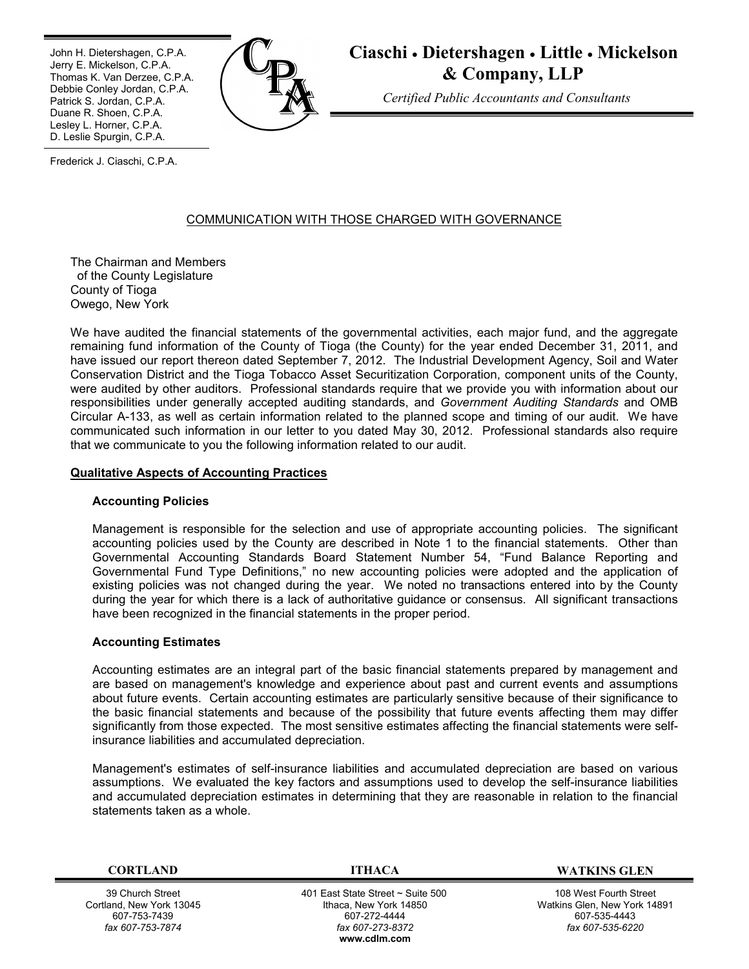Ī John H. Dietershagen, C.P.A. Jerry E. Mickelson, C.P.A. Thomas K. Van Derzee, C.P.A. Debbie Conley Jordan, C.P.A. Patrick S. Jordan, C.P.A. Duane R. Shoen, C.P.A. Lesley L. Horner, C.P.A. D. Leslie Spurgin, C.P.A.



**Ciaschi Dietershagen Little Mickelson & Company, LLP**

*Certified Public Accountants and Consultants*

Frederick J. Ciaschi, C.P.A.

# COMMUNICATION WITH THOSE CHARGED WITH GOVERNANCE

The Chairman and Members of the County Legislature County of Tioga Owego, New York

We have audited the financial statements of the governmental activities, each major fund, and the aggregate remaining fund information of the County of Tioga (the County) for the year ended December 31, 2011, and have issued our report thereon dated September 7, 2012. The Industrial Development Agency, Soil and Water Conservation District and the Tioga Tobacco Asset Securitization Corporation, component units of the County, were audited by other auditors. Professional standards require that we provide you with information about our responsibilities under generally accepted auditing standards, and *Government Auditing Standards* and OMB Circular A-133, as well as certain information related to the planned scope and timing of our audit. We have communicated such information in our letter to you dated May 30, 2012. Professional standards also require that we communicate to you the following information related to our audit.

## **Qualitative Aspects of Accounting Practices**

## **Accounting Policies**

Management is responsible for the selection and use of appropriate accounting policies. The significant accounting policies used by the County are described in Note 1 to the financial statements. Other than Governmental Accounting Standards Board Statement Number 54, "Fund Balance Reporting and Governmental Fund Type Definitions," no new accounting policies were adopted and the application of existing policies was not changed during the year. We noted no transactions entered into by the County during the year for which there is a lack of authoritative guidance or consensus. All significant transactions have been recognized in the financial statements in the proper period.

## **Accounting Estimates**

Accounting estimates are an integral part of the basic financial statements prepared by management and are based on management's knowledge and experience about past and current events and assumptions about future events. Certain accounting estimates are particularly sensitive because of their significance to the basic financial statements and because of the possibility that future events affecting them may differ significantly from those expected. The most sensitive estimates affecting the financial statements were selfinsurance liabilities and accumulated depreciation.

Management's estimates of self-insurance liabilities and accumulated depreciation are based on various assumptions. We evaluated the key factors and assumptions used to develop the self-insurance liabilities and accumulated depreciation estimates in determining that they are reasonable in relation to the financial statements taken as a whole.

39 Church Street Cortland, New York 13045 607-753-7439 *fax 607-753-7874*

 401 East State Street ~ Suite 500 Ithaca, New York 14850 607-272-4444 *fax 607-273-8372* **w[ww.cdlm.com](www.cdlm.com)**

**CORTLAND ITHACA WATKINS GLEN**

108 West Fourth Street Watkins Glen, New York 14891 607-535-4443 *fax 607-535-6220*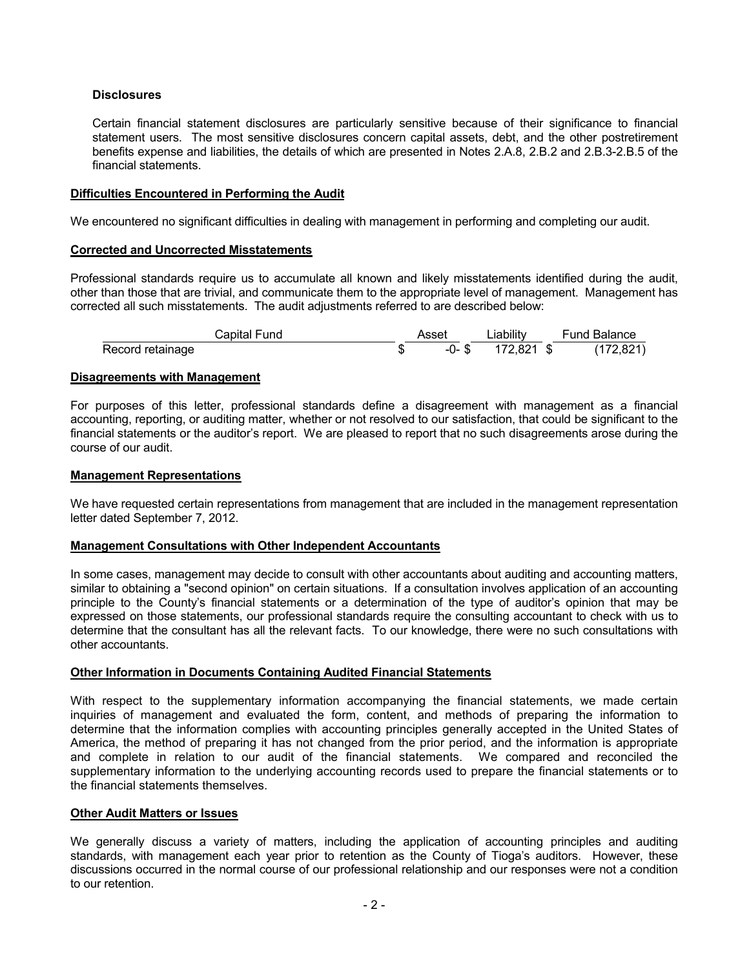# **Disclosures**

Certain financial statement disclosures are particularly sensitive because of their significance to financial statement users. The most sensitive disclosures concern capital assets, debt, and the other postretirement benefits expense and liabilities, the details of which are presented in Notes 2.A.8, 2.B.2 and 2.B.3-2.B.5 of the financial statements.

## **Difficulties Encountered in Performing the Audit**

We encountered no significant difficulties in dealing with management in performing and completing our audit.

## **Corrected and Uncorrected Misstatements**

Professional standards require us to accumulate all known and likely misstatements identified during the audit, other than those that are trivial, and communicate them to the appropriate level of management. Management has corrected all such misstatements. The audit adjustments referred to are described below:

|                  | Capital Fund | Asset | ∟iabilitv       | Fund Balance |
|------------------|--------------|-------|-----------------|--------------|
| Record retainage |              |       | -0-\$172.821 \$ | (172, 821)   |

## **Disagreements with Management**

For purposes of this letter, professional standards define a disagreement with management as a financial accounting, reporting, or auditing matter, whether or not resolved to our satisfaction, that could be significant to the financial statements or the auditor's report. We are pleased to report that no such disagreements arose during the course of our audit.

## **Management Representations**

We have requested certain representations from management that are included in the management representation letter dated September 7, 2012.

## **Management Consultations with Other Independent Accountants**

In some cases, management may decide to consult with other accountants about auditing and accounting matters, similar to obtaining a "second opinion" on certain situations. If a consultation involves application of an accounting principle to the County's financial statements or a determination of the type of auditor's opinion that may be expressed on those statements, our professional standards require the consulting accountant to check with us to determine that the consultant has all the relevant facts. To our knowledge, there were no such consultations with other accountants.

# **Other Information in Documents Containing Audited Financial Statements**

With respect to the supplementary information accompanying the financial statements, we made certain inquiries of management and evaluated the form, content, and methods of preparing the information to determine that the information complies with accounting principles generally accepted in the United States of America, the method of preparing it has not changed from the prior period, and the information is appropriate and complete in relation to our audit of the financial statements. We compared and reconciled the supplementary information to the underlying accounting records used to prepare the financial statements or to the financial statements themselves.

## **Other Audit Matters or Issues**

We generally discuss a variety of matters, including the application of accounting principles and auditing standards, with management each year prior to retention as the County of Tioga's auditors. However, these discussions occurred in the normal course of our professional relationship and our responses were not a condition to our retention.